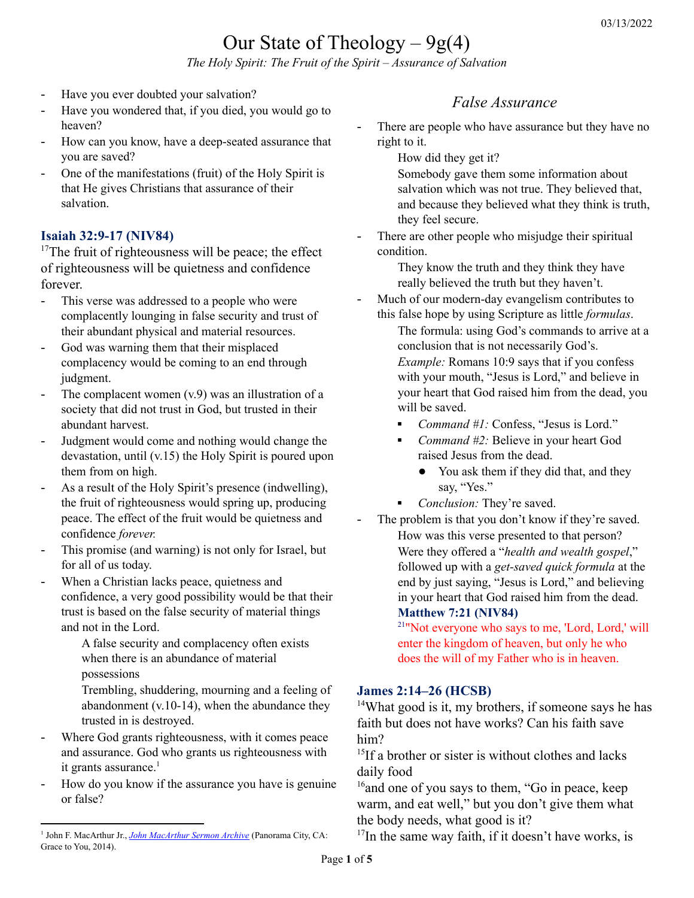# Our State of Theology  $-9g(4)$

*The Holy Spirit: The Fruit of the Spirit – Assurance of Salvation*

- Have you ever doubted your salvation?
- Have you wondered that, if you died, you would go to heaven?
- How can you know, have a deep-seated assurance that you are saved?
- One of the manifestations (fruit) of the Holy Spirit is that He gives Christians that assurance of their salvation.

#### **Isaiah 32:9-17 (NIV84)**

 $17$ The fruit of righteousness will be peace; the effect of righteousness will be quietness and confidence forever.

- This verse was addressed to a people who were complacently lounging in false security and trust of their abundant physical and material resources.
- God was warning them that their misplaced complacency would be coming to an end through judgment.
- The complacent women  $(v.9)$  was an illustration of a society that did not trust in God, but trusted in their abundant harvest.
- Judgment would come and nothing would change the devastation, until (v.15) the Holy Spirit is poured upon them from on high.
- As a result of the Holy Spirit's presence (indwelling), the fruit of righteousness would spring up, producing peace. The effect of the fruit would be quietness and confidence *forever.*
- This promise (and warning) is not only for Israel, but for all of us today.
- When a Christian lacks peace, quietness and confidence, a very good possibility would be that their trust is based on the false security of material things and not in the Lord.

A false security and complacency often exists when there is an abundance of material possessions

Trembling, shuddering, mourning and a feeling of abandonment (v.10-14), when the abundance they trusted in is destroyed.

- Where God grants righteousness, with it comes peace and assurance. God who grants us righteousness with it grants assurance.<sup>1</sup>
- How do you know if the assurance you have is genuine or false?

## *False Assurance*

- There are people who have assurance but they have no right to it.
	- How did they get it?

Somebody gave them some information about salvation which was not true. They believed that, and because they believed what they think is truth, they feel secure.

There are other people who misjudge their spiritual condition.

> They know the truth and they think they have really believed the truth but they haven't.

Much of our modern-day evangelism contributes to this false hope by using Scripture as little *formulas*.

The formula: using God's commands to arrive at a conclusion that is not necessarily God's. *Example:* Romans 10:9 says that if you confess with your mouth, "Jesus is Lord," and believe in your heart that God raised him from the dead, you will be saved.

- Command #1: Confess, "Jesus is Lord."
- *Command* #2: Believe in your heart God raised Jesus from the dead.
	- You ask them if they did that, and they say, "Yes."
- *Conclusion:* They're saved.
- The problem is that you don't know if they're saved. How was this verse presented to that person? Were they offered a "*health and wealth gospel*," followed up with a *get-saved quick formula* at the end by just saying, "Jesus is Lord," and believing in your heart that God raised him from the dead. **Matthew 7:21 (NIV84)**

<sup>21</sup>"Not everyone who says to me, 'Lord, Lord,' will enter the kingdom of heaven, but only he who does the will of my Father who is in heaven.

#### **James 2:14–26 (HCSB)**

<sup>14</sup>What good is it, my brothers, if someone says he has faith but does not have works? Can his faith save him?

<sup>15</sup>If a brother or sister is without clothes and lacks daily food

<sup>16</sup> and one of you says to them, "Go in peace, keep warm, and eat well," but you don't give them what the body needs, what good is it?

 $17$ In the same way faith, if it doesn't have works, is

<sup>&</sup>lt;sup>1</sup> John F. [MacArthur](https://ref.ly/logosres/jhnmcrthrsrrchv?art=sermon.1990.35&off=3890&ctx=much+assurance.+And+~God+who+grants+us+ri) Jr., *John MacArthur Sermon Archive* (Panorama City, CA: Grace to You, 2014).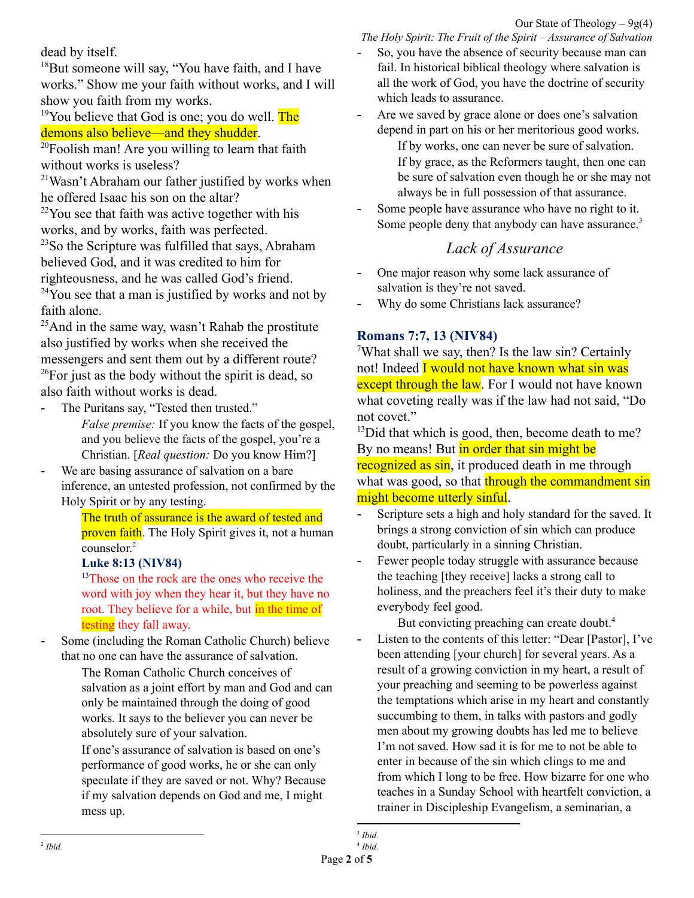dead by itself.

<sup>18</sup>But someone will say, "You have faith, and I have works." Show me your faith without works, and I will show you faith from my works.

#### <sup>19</sup>You believe that God is one; you do well. **The** demons also believe—and they shudder.

 $20F$ oolish man! Are you willing to learn that faith without works is useless?

<sup>21</sup>Wasn't Abraham our father justified by works when he offered Isaac his son on the altar?

 $22$ You see that faith was active together with his works, and by works, faith was perfected. <sup>23</sup>So the Scripture was fulfilled that says, Abraham believed God, and it was credited to him for righteousness, and he was called God's friend.  $24$ You see that a man is justified by works and not by

faith alone.  $25$ And in the same way, wasn't Rahab the prostitute

also justified by works when she received the messengers and sent them out by a different route?  $^{26}$ For just as the body without the spirit is dead, so also faith without works is dead.

- The Puritans say, "Tested then trusted." *False premise:* If you know the facts of the gospel, and you believe the facts of the gospel, you're a Christian. [*Real question:* Do you know Him?]
- We are basing assurance of salvation on a bare inference, an untested profession, not confirmed by the Holy Spirit or by any testing.

The truth of assurance is the award of tested and proven faith. The Holy Spirit gives it, not a human counselor. 2

### **Luke 8:13 (NIV84)**

<sup>13</sup>Those on the rock are the ones who receive the word with joy when they hear it, but they have no root. They believe for a while, but in the time of testing they fall away.

Some (including the Roman Catholic Church) believe that no one can have the assurance of salvation.

The Roman Catholic Church conceives of salvation as a joint effort by man and God and can only be maintained through the doing of good works. It says to the believer you can never be absolutely sure of your salvation.

If one's assurance of salvation is based on one's performance of good works, he or she can only speculate if they are saved or not. Why? Because if my salvation depends on God and me, I might mess up.

*The Holy Spirit: The Fruit of the Spirit – Assurance of Salvation* So, you have the absence of security because man can

- fail. In historical biblical theology where salvation is all the work of God, you have the doctrine of security which leads to assurance.
- Are we saved by grace alone or does one's salvation depend in part on his or her meritorious good works.

If by works, one can never be sure of salvation. If by grace, as the Reformers taught, then one can be sure of salvation even though he or she may not always be in full possession of that assurance.

Some people have assurance who have no right to it. Some people deny that anybody can have assurance.<sup>3</sup>

## *Lack of Assurance*

- One major reason why some lack assurance of salvation is they're not saved.
- Why do some Christians lack assurance?

## **Romans 7:7, 13 (NIV84)**

<sup>7</sup>What shall we say, then? Is the law sin? Certainly not! Indeed I would not have known what sin was except through the law. For I would not have known what coveting really was if the law had not said, "Do not covet."

 $13$ Did that which is good, then, become death to me? By no means! But in order that sin might be recognized as sin, it produced death in me through what was good, so that through the commandment sin might become utterly sinful.

- Scripture sets a high and holy standard for the saved. It brings a strong conviction of sin which can produce doubt, particularly in a sinning Christian.
- Fewer people today struggle with assurance because the teaching [they receive] lacks a strong call to holiness, and the preachers feel it's their duty to make everybody feel good.

But convicting preaching can create doubt. 4

- Listen to the contents of this letter: "Dear [Pastor], I've been attending [your church] for several years. As a result of a growing conviction in my heart, a result of your preaching and seeming to be powerless against the temptations which arise in my heart and constantly succumbing to them, in talks with pastors and godly men about my growing doubts has led me to believe I'm not saved. How sad it is for me to not be able to enter in because of the sin which clings to me and from which I long to be free. How bizarre for one who teaches in a Sunday School with heartfelt conviction, a trainer in Discipleship Evangelism, a seminarian, a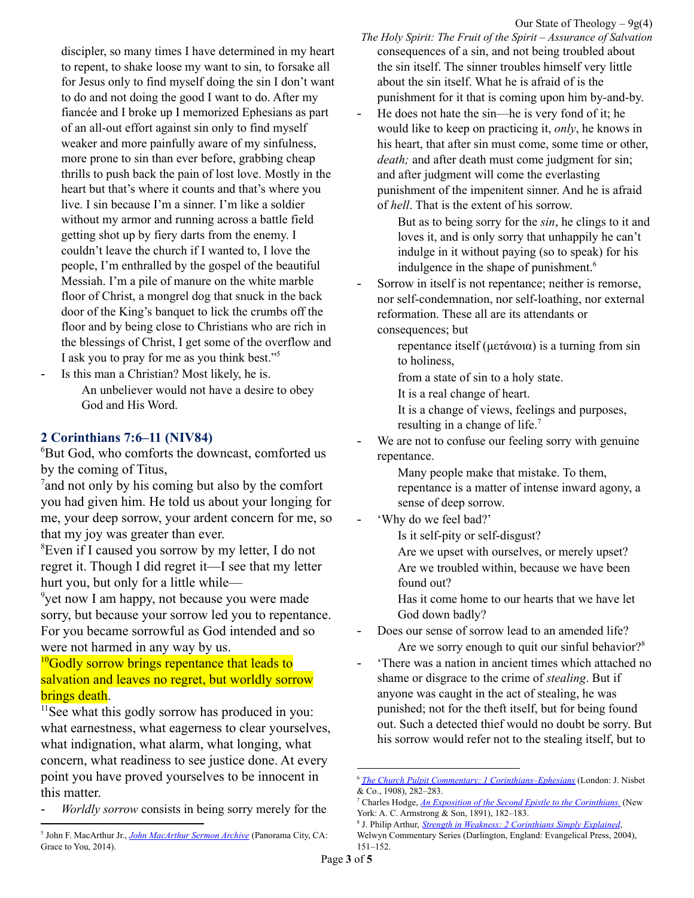Our State of Theology  $-9g(4)$ 

discipler, so many times I have determined in my heart to repent, to shake loose my want to sin, to forsake all for Jesus only to find myself doing the sin I don't want to do and not doing the good I want to do. After my fiancée and I broke up I memorized Ephesians as part of an all-out effort against sin only to find myself weaker and more painfully aware of my sinfulness, more prone to sin than ever before, grabbing cheap thrills to push back the pain of lost love. Mostly in the heart but that's where it counts and that's where you live. I sin because I'm a sinner. I'm like a soldier without my armor and running across a battle field getting shot up by fiery darts from the enemy. I couldn't leave the church if I wanted to, I love the people, I'm enthralled by the gospel of the beautiful Messiah. I'm a pile of manure on the white marble floor of Christ, a mongrel dog that snuck in the back door of the King's banquet to lick the crumbs off the floor and by being close to Christians who are rich in the blessings of Christ, I get some of the overflow and I ask you to pray for me as you think best."<sup>5</sup>

Is this man a Christian? Most likely, he is. An unbeliever would not have a desire to obey God and His Word.

#### **2 Corinthians 7:6–11 (NIV84)**

<sup>6</sup>But God, who comforts the downcast, comforted us by the coming of Titus,

 $7$  and not only by his coming but also by the comfort you had given him. He told us about your longing for me, your deep sorrow, your ardent concern for me, so that my joy was greater than ever.

<sup>8</sup>Even if I caused you sorrow by my letter, I do not regret it. Though I did regret it—I see that my letter hurt you, but only for a little while—

<sup>9</sup>yet now I am happy, not because you were made sorry, but because your sorrow led you to repentance. For you became sorrowful as God intended and so were not harmed in any way by us.

#### <sup>10</sup>Godly sorrow brings repentance that leads to salvation and leaves no regret, but worldly sorrow **brings death.**

<sup>11</sup>See what this godly sorrow has produced in you: what earnestness, what eagerness to clear yourselves, what indignation, what alarm, what longing, what concern, what readiness to see justice done. At every point you have proved yourselves to be innocent in this matter.

*Worldly sorrow* consists in being sorry merely for the

- *The Holy Spirit: The Fruit of the Spirit – Assurance of Salvation* consequences of a sin, and not being troubled about the sin itself. The sinner troubles himself very little about the sin itself. What he is afraid of is the punishment for it that is coming upon him by-and-by.
- He does not hate the sin—he is very fond of it; he would like to keep on practicing it, *only*, he knows in his heart, that after sin must come, some time or other, *death;* and after death must come judgment for sin; and after judgment will come the everlasting punishment of the impenitent sinner. And he is afraid of *hell*. That is the extent of his sorrow.

But as to being sorry for the *sin*, he clings to it and loves it, and is only sorry that unhappily he can't indulge in it without paying (so to speak) for his indulgence in the shape of punishment. 6

- Sorrow in itself is not repentance; neither is remorse, nor self-condemnation, nor self-loathing, nor external reformation. These all are its attendants or consequences; but
	- repentance itself (μετάνοια) is a turning from sin to holiness,

from a state of sin to a holy state.

It is a real change of heart.

It is a change of views, feelings and purposes, resulting in a change of life.<sup>7</sup>

We are not to confuse our feeling sorry with genuine repentance.

> Many people make that mistake. To them, repentance is a matter of intense inward agony, a sense of deep sorrow.

'Why do we feel bad?'

Is it self-pity or self-disgust?

Are we upset with ourselves, or merely upset? Are we troubled within, because we have been found out?

Has it come home to our hearts that we have let God down badly?

- Does our sense of sorrow lead to an amended life? Are we sorry enough to quit our sinful behavior?<sup>8</sup>
- 'There was a nation in ancient times which attached no shame or disgrace to the crime of *stealing*. But if anyone was caught in the act of stealing, he was punished; not for the theft itself, but for being found out. Such a detected thief would no doubt be sorry. But his sorrow would refer not to the stealing itself, but to

<sup>5</sup> John F. MacArthur Jr., *John [MacArthur](https://ref.ly/logosres/jhnmcrthrsrrchv?art=sermon.1990.35&off=17977&ctx=I%E2%80%99d+share+with+you.+~%E2%80%9CDear+John%2c+I%E2%80%99ve+bee) Sermon Archive* (Panorama City, CA: Grace to You, 2014).

<sup>6</sup> *The Church Pulpit Commentary: 1 [Corinthians–Ephesians](https://ref.ly/logosres/pulpit67co1?ref=Bible.2Co7.9&off=1889&ctx=+leads+to+death.+It+~consists+in+being+so)* (London: J. Nisbet & Co., 1908), 282–283.

<sup>7</sup> Charles Hodge, *An Exposition of the Second Epistle to the [Corinthians.](https://ref.ly/logosres/hodgecm68co2?ref=Bible.2Co7.10&off=236&ctx=worked+repentance.%E2%80%99+~Sorrow+in+itself+is+)* (New York: A. C. Armstrong & Son, 1891), 182–183.

<sup>8</sup> J. Philip Arthur, *Strength in Weakness: 2 [Corinthians](https://ref.ly/logosres/wcs68co2?ref=Bible.2Co7.6-12&off=707&ctx=s+twice+in+verse+9.+~The+crucial+point+he) Simply Explained*,

Welwyn Commentary Series (Darlington, England: Evangelical Press, 2004), 151–152.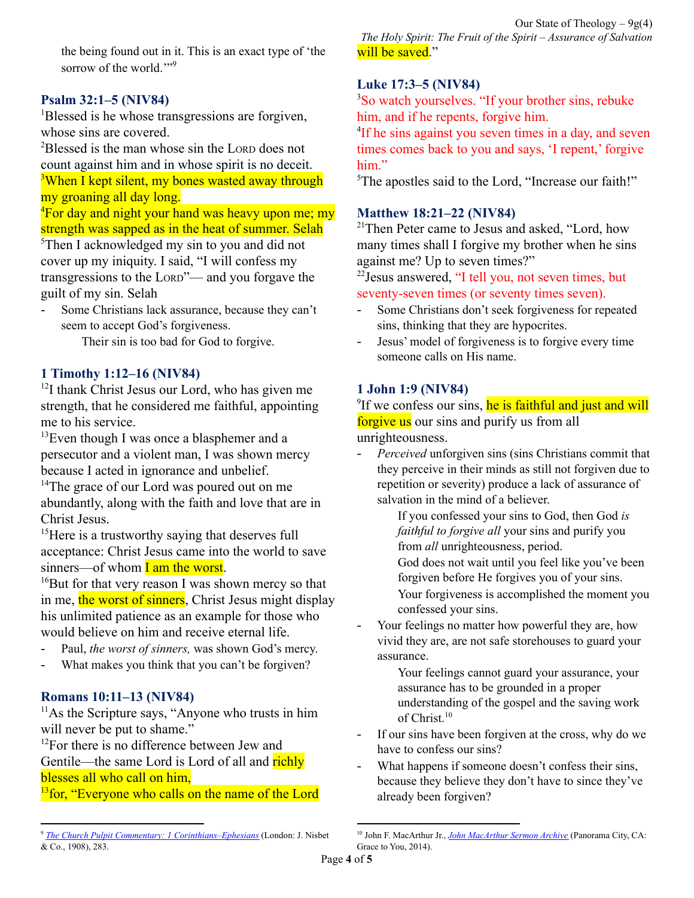the being found out in it. This is an exact type of 'the sorrow of the world.""<sup>9</sup>

#### **Psalm 32:1–5 (NIV84)**

<sup>1</sup>Blessed is he whose transgressions are forgiven, whose sins are covered.

<sup>2</sup>Blessed is the man whose sin the LORD does not count against him and in whose spirit is no deceit. <sup>3</sup>When I kept silent, my bones wasted away through my groaning all day long.

 $\rm{^{4}F}$ or day and night your hand was heavy upon me; my strength was sapped as in the heat of summer. Selah

<sup>5</sup>Then I acknowledged my sin to you and did not cover up my iniquity. I said, "I will confess my transgressions to the LORD"— and you forgave the guilt of my sin. Selah

Some Christians lack assurance, because they can't seem to accept God's forgiveness.

Their sin is too bad for God to forgive.

#### **1 Timothy 1:12–16 (NIV84)**

<sup>12</sup>I thank Christ Jesus our Lord, who has given me strength, that he considered me faithful, appointing me to his service.

 $13$ Even though I was once a blasphemer and a persecutor and a violent man, I was shown mercy because I acted in ignorance and unbelief.

<sup>14</sup>The grace of our Lord was poured out on me abundantly, along with the faith and love that are in Christ Jesus.

<sup>15</sup>Here is a trustworthy saying that deserves full acceptance: Christ Jesus came into the world to save sinners—of whom  $I$  am the worst.

<sup>16</sup>But for that very reason I was shown mercy so that in me, the worst of sinners, Christ Jesus might display his unlimited patience as an example for those who would believe on him and receive eternal life.

- Paul, *the worst of sinners*, was shown God's mercy.
- What makes you think that you can't be forgiven?

#### **Romans 10:11–13 (NIV84)**

 $11$ As the Scripture says, "Anyone who trusts in him will never be put to shame."

 $12$ For there is no difference between Jew and Gentile—the same Lord is Lord of all and richly blesses all who call on him,

<sup>13</sup> for, "Everyone who calls on the name of the Lord

Our State of Theology  $-9g(4)$ *The Holy Spirit: The Fruit of the Spirit – Assurance of Salvation* will be saved."

#### **Luke 17:3–5 (NIV84)**

<sup>3</sup>So watch yourselves. "If your brother sins, rebuke him, and if he repents, forgive him.

<sup>4</sup>If he sins against you seven times in a day, and seven times comes back to you and says, 'I repent,' forgive him"

<sup>5</sup>The apostles said to the Lord, "Increase our faith!"

#### **Matthew 18:21–22 (NIV84)**

<sup>21</sup>Then Peter came to Jesus and asked, "Lord, how many times shall I forgive my brother when he sins against me? Up to seven times?"

<sup>22</sup> Jesus answered, "I tell you, not seven times, but seventy-seven times (or seventy times seven).

- Some Christians don't seek forgiveness for repeated sins, thinking that they are hypocrites.
- Jesus' model of forgiveness is to forgive every time someone calls on His name.

#### **1 John 1:9 (NIV84)**

<sup>9</sup>If we confess our sins, he is faithful and just and will forgive us our sins and purify us from all unrighteousness.

*Perceived* unforgiven sins (sins Christians commit that they perceive in their minds as still not forgiven due to repetition or severity) produce a lack of assurance of salvation in the mind of a believer.

> If you confessed your sins to God, then God *is faithful to forgive all* your sins and purify you from *all* unrighteousness, period.

God does not wait until you feel like you've been forgiven before He forgives you of your sins.

Your forgiveness is accomplished the moment you confessed your sins.

Your feelings no matter how powerful they are, how vivid they are, are not safe storehouses to guard your assurance.

> Your feelings cannot guard your assurance, your assurance has to be grounded in a proper understanding of the gospel and the saving work of Christ. 10

- If our sins have been forgiven at the cross, why do we have to confess our sins?
- What happens if someone doesn't confess their sins, because they believe they don't have to since they've already been forgiven?

<sup>9</sup> *The Church Pulpit Commentary: 1 [Corinthians–Ephesians](https://ref.ly/logosres/pulpit67co1?ref=Bible.2Co7.9&off=4161&ctx=Illustration%0a~%E2%80%98There+was+a+nation+in+anci)* (London: J. Nisbet & Co., 1908), 283.

<sup>10</sup> John F. MacArthur Jr., *John [MacArthur](https://ref.ly/logosres/jhnmcrthrsrrchv?art=sermon.1990.35&off=27252&ctx=eeling.+By+the+way%2c+~your+feelings+no+mat) Sermon Archive* (Panorama City, CA: Grace to You, 2014).